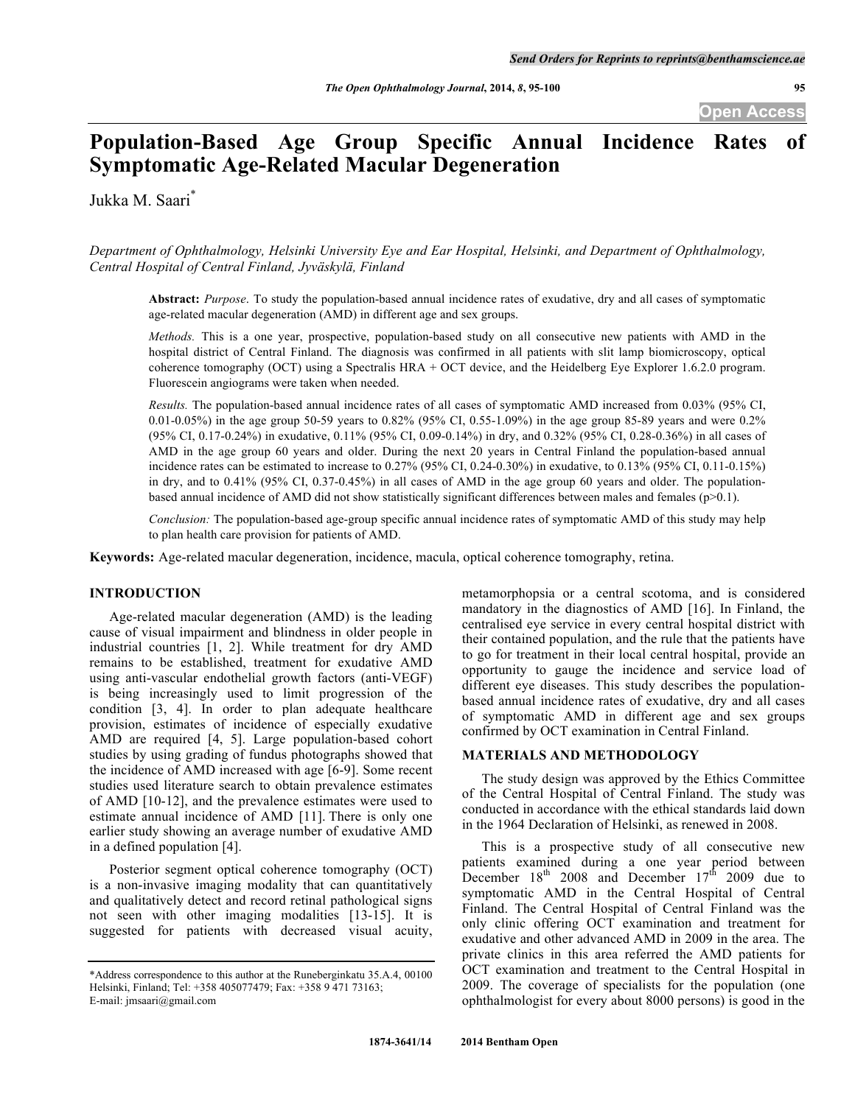# Population-Based Age Group Specific Annual Incidence Rates **Symptomatic Age-Related Macular Degeneration**

Jukka M. Saari\*

*Department of Ophthalmology, Helsinki University Eye and Ear Hospital, Helsinki, and Department of Ophthalmology, Central Hospital of Central Finland, Jyväskylä, Finland*

**Abstract:** *Purpose*. To study the population-based annual incidence rates of exudative, dry and all cases of symptomatic age-related macular degeneration (AMD) in different age and sex groups.

*Methods.* This is a one year, prospective, population-based study on all consecutive new patients with AMD in the hospital district of Central Finland. The diagnosis was confirmed in all patients with slit lamp biomicroscopy, optical coherence tomography (OCT) using a Spectralis HRA + OCT device, and the Heidelberg Eye Explorer 1.6.2.0 program. Fluorescein angiograms were taken when needed.

*Results.* The population-based annual incidence rates of all cases of symptomatic AMD increased from 0.03% (95% CI, 0.01-0.05%) in the age group 50-59 years to 0.82% (95% CI, 0.55-1.09%) in the age group 85-89 years and were 0.2% (95% CI, 0.17-0.24%) in exudative, 0.11% (95% CI, 0.09-0.14%) in dry, and 0.32% (95% CI, 0.28-0.36%) in all cases of AMD in the age group 60 years and older. During the next 20 years in Central Finland the population-based annual incidence rates can be estimated to increase to 0.27% (95% CI, 0.24-0.30%) in exudative, to 0.13% (95% CI, 0.11-0.15%) in dry, and to 0.41% (95% CI, 0.37-0.45%) in all cases of AMD in the age group 60 years and older. The populationbased annual incidence of AMD did not show statistically significant differences between males and females ( $p>0.1$ ).

*Conclusion:* The population-based age-group specific annual incidence rates of symptomatic AMD of this study may help to plan health care provision for patients of AMD.

**Keywords:** Age-related macular degeneration, incidence, macula, optical coherence tomography, retina.

### **INTRODUCTION**

Age-related macular degeneration (AMD) is the leading cause of visual impairment and blindness in older people in industrial countries [1, 2]. While treatment for dry AMD remains to be established, treatment for exudative AMD using anti-vascular endothelial growth factors (anti-VEGF) is being increasingly used to limit progression of the condition [3, 4]. In order to plan adequate healthcare provision, estimates of incidence of especially exudative AMD are required [4, 5]. Large population-based cohort studies by using grading of fundus photographs showed that the incidence of AMD increased with age [6-9]. Some recent studies used literature search to obtain prevalence estimates of AMD [10-12], and the prevalence estimates were used to estimate annual incidence of AMD [11]. There is only one earlier study showing an average number of exudative AMD in a defined population [4].

Posterior segment optical coherence tomography (OCT) is a non-invasive imaging modality that can quantitatively and qualitatively detect and record retinal pathological signs not seen with other imaging modalities [13-15]. It is suggested for patients with decreased visual acuity,

metamorphopsia or a central scotoma, and is considered mandatory in the diagnostics of AMD [16]. In Finland, the centralised eye service in every central hospital district with their contained population, and the rule that the patients have to go for treatment in their local central hospital, provide an opportunity to gauge the incidence and service load of different eye diseases. This study describes the populationbased annual incidence rates of exudative, dry and all cases of symptomatic AMD in different age and sex groups confirmed by OCT examination in Central Finland.

## **MATERIALS AND METHODOLOGY**

The study design was approved by the Ethics Committee of the Central Hospital of Central Finland. The study was conducted in accordance with the ethical standards laid down in the 1964 Declaration of Helsinki, as renewed in 2008.

This is a prospective study of all consecutive new patients examined during a one year period between December  $18^{th}$  2008 and December  $17^{th}$  2009 due to symptomatic AMD in the Central Hospital of Central Finland. The Central Hospital of Central Finland was the only clinic offering OCT examination and treatment for exudative and other advanced AMD in 2009 in the area. The private clinics in this area referred the AMD patients for OCT examination and treatment to the Central Hospital in 2009. The coverage of specialists for the population (one ophthalmologist for every about 8000 persons) is good in the

<sup>\*</sup>Address correspondence to this author at the Runeberginkatu 35.A.4, 00100 Helsinki, Finland; Tel: +358 405077479; Fax: +358 9 471 73163; E-mail: jmsaari@gmail.com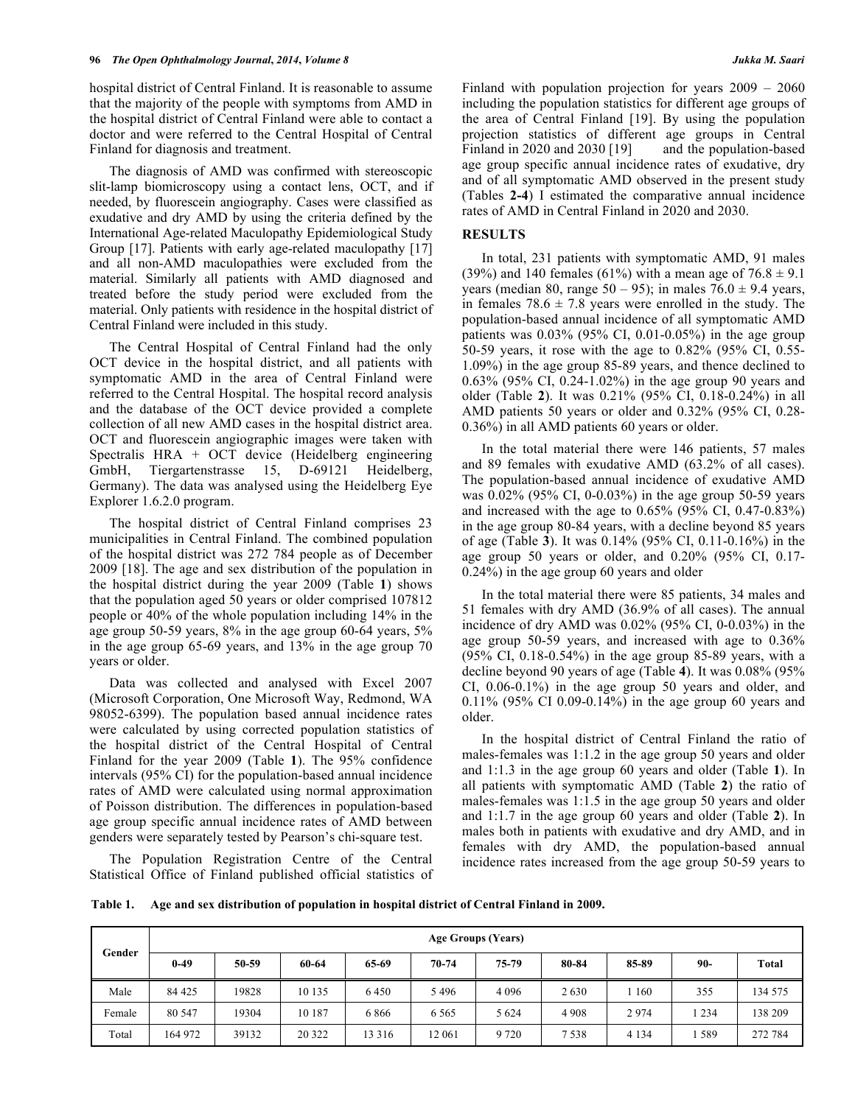hospital district of Central Finland. It is reasonable to assume that the majority of the people with symptoms from AMD in the hospital district of Central Finland were able to contact a doctor and were referred to the Central Hospital of Central Finland for diagnosis and treatment.

The diagnosis of AMD was confirmed with stereoscopic slit-lamp biomicroscopy using a contact lens, OCT, and if needed, by fluorescein angiography. Cases were classified as exudative and dry AMD by using the criteria defined by the International Age-related Maculopathy Epidemiological Study Group [17]. Patients with early age-related maculopathy [17] and all non-AMD maculopathies were excluded from the material. Similarly all patients with AMD diagnosed and treated before the study period were excluded from the material. Only patients with residence in the hospital district of Central Finland were included in this study.

The Central Hospital of Central Finland had the only OCT device in the hospital district, and all patients with symptomatic AMD in the area of Central Finland were referred to the Central Hospital. The hospital record analysis and the database of the OCT device provided a complete collection of all new AMD cases in the hospital district area. OCT and fluorescein angiographic images were taken with Spectralis HRA + OCT device (Heidelberg engineering GmbH, Tiergartenstrasse 15, D-69121 Heidelberg, Germany). The data was analysed using the Heidelberg Eye Explorer 1.6.2.0 program.

The hospital district of Central Finland comprises 23 municipalities in Central Finland. The combined population of the hospital district was 272 784 people as of December 2009 [18]. The age and sex distribution of the population in the hospital district during the year 2009 (Table **1**) shows that the population aged 50 years or older comprised 107812 people or 40% of the whole population including 14% in the age group 50-59 years, 8% in the age group 60-64 years, 5% in the age group 65-69 years, and 13% in the age group 70 years or older.

Data was collected and analysed with Excel 2007 (Microsoft Corporation, One Microsoft Way, Redmond, WA 98052-6399). The population based annual incidence rates were calculated by using corrected population statistics of the hospital district of the Central Hospital of Central Finland for the year 2009 (Table **1**). The 95% confidence intervals (95% CI) for the population-based annual incidence rates of AMD were calculated using normal approximation of Poisson distribution. The differences in population-based age group specific annual incidence rates of AMD between genders were separately tested by Pearson's chi-square test.

The Population Registration Centre of the Central Statistical Office of Finland published official statistics of Finland with population projection for years  $2009 - 2060$ including the population statistics for different age groups of the area of Central Finland [19]. By using the population projection statistics of different age groups in Central Finland in 2020 and 2030 [19] and the population-based age group specific annual incidence rates of exudative, dry and of all symptomatic AMD observed in the present study (Tables **2-4**) I estimated the comparative annual incidence rates of AMD in Central Finland in 2020 and 2030.

#### **RESULTS**

In total, 231 patients with symptomatic AMD, 91 males (39%) and 140 females (61%) with a mean age of  $76.8 \pm 9.1$ years (median 80, range 50 – 95); in males  $76.0 \pm 9.4$  years, in females  $78.6 \pm 7.8$  years were enrolled in the study. The population-based annual incidence of all symptomatic AMD patients was  $0.03\%$  (95% CI, 0.01-0.05%) in the age group 50-59 years, it rose with the age to 0.82% (95% CI, 0.55- 1.09%) in the age group 85-89 years, and thence declined to 0.63% (95% CI, 0.24-1.02%) in the age group 90 years and older (Table **2**). It was 0.21% (95% CI, 0.18-0.24%) in all AMD patients 50 years or older and 0.32% (95% CI, 0.28- 0.36%) in all AMD patients 60 years or older.

In the total material there were 146 patients, 57 males and 89 females with exudative AMD (63.2% of all cases). The population-based annual incidence of exudative AMD was 0.02% (95% CI, 0-0.03%) in the age group 50-59 years and increased with the age to 0.65% (95% CI, 0.47-0.83%) in the age group 80-84 years, with a decline beyond 85 years of age (Table **3**). It was 0.14% (95% CI, 0.11-0.16%) in the age group 50 years or older, and 0.20% (95% CI, 0.17- 0.24%) in the age group 60 years and older

In the total material there were 85 patients, 34 males and 51 females with dry AMD (36.9% of all cases). The annual incidence of dry AMD was 0.02% (95% CI, 0-0.03%) in the age group 50-59 years, and increased with age to 0.36% (95% CI, 0.18-0.54%) in the age group 85-89 years, with a decline beyond 90 years of age (Table **4**). It was 0.08% (95% CI, 0.06-0.1%) in the age group 50 years and older, and 0.11% (95% CI 0.09-0.14%) in the age group 60 years and older.

In the hospital district of Central Finland the ratio of males-females was 1:1.2 in the age group 50 years and older and 1:1.3 in the age group 60 years and older (Table **1**). In all patients with symptomatic AMD (Table **2**) the ratio of males-females was 1:1.5 in the age group 50 years and older and 1:1.7 in the age group 60 years and older (Table **2**). In males both in patients with exudative and dry AMD, and in females with dry AMD, the population-based annual incidence rates increased from the age group 50-59 years to

**Table 1. Age and sex distribution of population in hospital district of Central Finland in 2009.**

| Gender | Age Groups (Years) |       |        |         |         |         |         |         |         |         |
|--------|--------------------|-------|--------|---------|---------|---------|---------|---------|---------|---------|
|        | $0 - 49$           | 50-59 | 60-64  | 65-69   | 70-74   | 75-79   | 80-84   | 85-89   | 90-     | Total   |
| Male   | 84 4 25            | 19828 | 10 135 | 6450    | 5496    | 4 0 9 6 | 2630    | 160     | 355     | 134 575 |
| Female | 80 547             | 19304 | 10 187 | 6866    | 6 5 6 5 | 5 6 2 4 | 4 9 0 8 | 2974    | 1 2 3 4 | 138 209 |
| Total  | 164 972            | 39132 | 20 322 | 13 3 16 | 12 061  | 9 7 2 0 | 7538    | 4 1 3 4 | l 589   | 272 784 |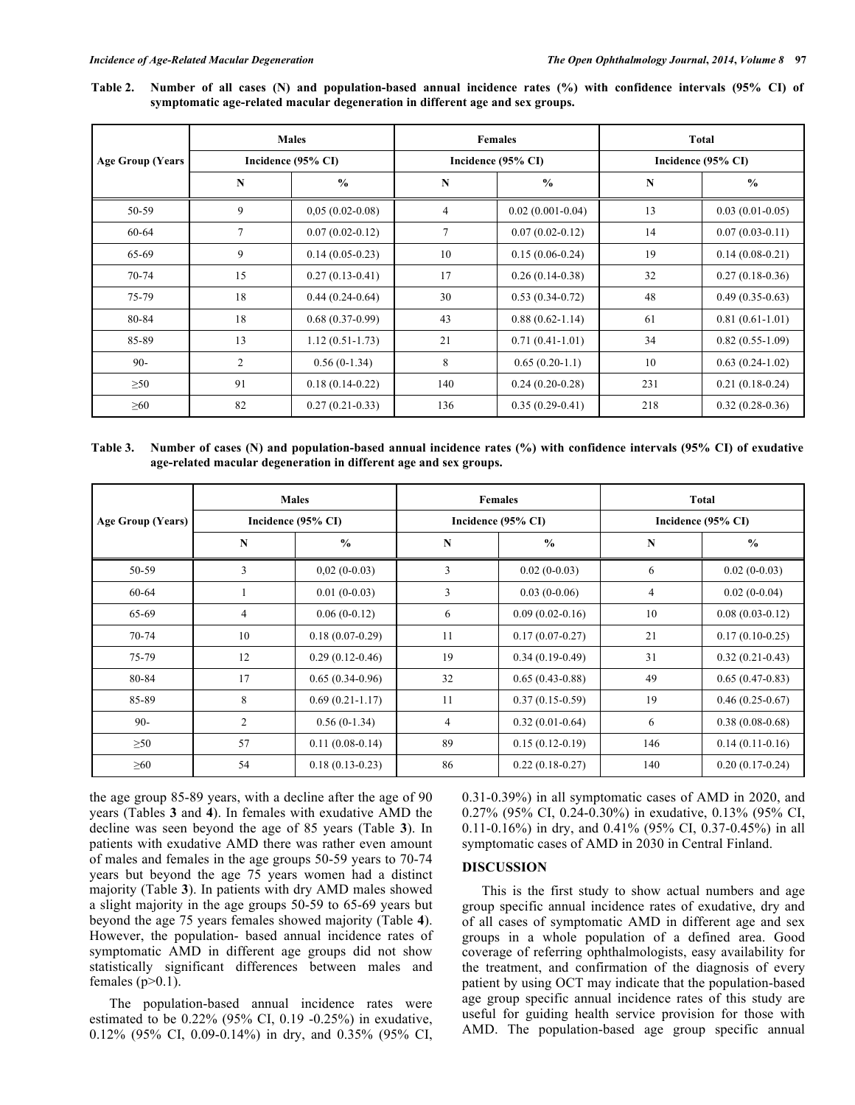**Table 2. Number of all cases (N) and population-based annual incidence rates (%) with confidence intervals (95% CI) of symptomatic age-related macular degeneration in different age and sex groups.**

|                         |                | <b>Males</b>       |                | <b>Females</b>      | <b>Total</b>       |                   |  |
|-------------------------|----------------|--------------------|----------------|---------------------|--------------------|-------------------|--|
| <b>Age Group (Years</b> |                | Incidence (95% CI) |                | Incidence (95% CI)  | Incidence (95% CI) |                   |  |
|                         | N              | $\frac{0}{0}$      | $\mathbf N$    | $\frac{6}{9}$       | N                  | $\frac{0}{0}$     |  |
| 50-59                   | 9              | $0,05(0.02-0.08)$  | $\overline{4}$ | $0.02(0.001-0.04)$  | 13                 | $0.03(0.01-0.05)$ |  |
| 60-64                   | 7              | $0.07(0.02-0.12)$  | 7              | $0.07(0.02-0.12)$   | 14                 | $0.07(0.03-0.11)$ |  |
| 65-69                   | 9              | $0.14(0.05-0.23)$  | 10             | $0.15(0.06-0.24)$   | 19                 | $0.14(0.08-0.21)$ |  |
| 70-74                   | 15             | $0.27(0.13-0.41)$  | 17             | $0.26(0.14-0.38)$   | 32                 | $0.27(0.18-0.36)$ |  |
| 75-79                   | 18             | $0.44(0.24-0.64)$  | 30             | $0.53(0.34-0.72)$   | 48                 | $0.49(0.35-0.63)$ |  |
| 80-84                   | 18             | $0.68(0.37-0.99)$  | 43             | $0.88(0.62 - 1.14)$ | 61                 | $0.81(0.61-1.01)$ |  |
| 85-89                   | 13             | $1.12(0.51-1.73)$  | 21             | $0.71(0.41-1.01)$   | 34                 | $0.82(0.55-1.09)$ |  |
| $90 -$                  | $\overline{c}$ | $0.56(0-1.34)$     | 8              | $0.65(0.20-1.1)$    | 10                 | $0.63(0.24-1.02)$ |  |
| $\geq 50$               | 91             | $0.18(0.14-0.22)$  | 140            | $0.24(0.20-0.28)$   | 231                | $0.21(0.18-0.24)$ |  |
| $\geq 60$               | 82             | $0.27(0.21-0.33)$  | 136            | $0.35(0.29-0.41)$   | 218                | $0.32(0.28-0.36)$ |  |

**Table 3. Number of cases (N) and population-based annual incidence rates (%) with confidence intervals (95% CI) of exudative age-related macular degeneration in different age and sex groups.**

|                   |                | <b>Males</b>       |    | <b>Females</b>     | <b>Total</b><br>Incidence (95% CI) |                   |  |
|-------------------|----------------|--------------------|----|--------------------|------------------------------------|-------------------|--|
| Age Group (Years) |                | Incidence (95% CI) |    | Incidence (95% CI) |                                    |                   |  |
|                   | $\mathbf N$    | $\frac{0}{0}$      | N  | $\frac{0}{0}$      | N                                  | $\frac{0}{0}$     |  |
| 50-59             | 3              | $0,02(0-0.03)$     | 3  | $0.02(0-0.03)$     | 6                                  | $0.02(0-0.03)$    |  |
| 60-64             |                | $0.01(0-0.03)$     | 3  | $0.03(0-0.06)$     | $\overline{4}$                     | $0.02(0-0.04)$    |  |
| 65-69             | $\overline{4}$ | $0.06(0-0.12)$     | 6  | $0.09(0.02-0.16)$  | 10                                 | $0.08(0.03-0.12)$ |  |
| $70 - 74$         | 10             | $0.18(0.07-0.29)$  | 11 | $0.17(0.07-0.27)$  | 21                                 | $0.17(0.10-0.25)$ |  |
| 75-79             | 12             | $0.29(0.12-0.46)$  | 19 | $0.34(0.19-0.49)$  | 31                                 | $0.32(0.21-0.43)$ |  |
| 80-84             | 17             | $0.65(0.34-0.96)$  | 32 | $0.65(0.43-0.88)$  | 49                                 | $0.65(0.47-0.83)$ |  |
| 85-89             | 8              | $0.69(0.21-1.17)$  | 11 | $0.37(0.15-0.59)$  | 19                                 | $0.46(0.25-0.67)$ |  |
| $90-$             | 2              | $0.56(0-1.34)$     | 4  | $0.32(0.01-0.64)$  | 6                                  | $0.38(0.08-0.68)$ |  |
| $\geq 50$         | 57             | $0.11(0.08-0.14)$  | 89 | $0.15(0.12-0.19)$  | 146                                | $0.14(0.11-0.16)$ |  |
| $\geq 60$         | 54             | $0.18(0.13-0.23)$  | 86 | $0.22(0.18-0.27)$  | 140                                | $0.20(0.17-0.24)$ |  |

the age group 85-89 years, with a decline after the age of 90 years (Tables **3** and **4**). In females with exudative AMD the decline was seen beyond the age of 85 years (Table **3**). In patients with exudative AMD there was rather even amount of males and females in the age groups 50-59 years to 70-74 years but beyond the age 75 years women had a distinct majority (Table **3**). In patients with dry AMD males showed a slight majority in the age groups 50-59 to 65-69 years but beyond the age 75 years females showed majority (Table **4**). However, the population- based annual incidence rates of symptomatic AMD in different age groups did not show statistically significant differences between males and females  $(p>0.1)$ .

The population-based annual incidence rates were estimated to be 0.22% (95% CI, 0.19 -0.25%) in exudative, 0.12% (95% CI, 0.09-0.14%) in dry, and 0.35% (95% CI,

0.31-0.39%) in all symptomatic cases of AMD in 2020, and 0.27% (95% CI, 0.24-0.30%) in exudative, 0.13% (95% CI, 0.11-0.16%) in dry, and 0.41% (95% CI, 0.37-0.45%) in all symptomatic cases of AMD in 2030 in Central Finland.

### **DISCUSSION**

This is the first study to show actual numbers and age group specific annual incidence rates of exudative, dry and of all cases of symptomatic AMD in different age and sex groups in a whole population of a defined area. Good coverage of referring ophthalmologists, easy availability for the treatment, and confirmation of the diagnosis of every patient by using OCT may indicate that the population-based age group specific annual incidence rates of this study are useful for guiding health service provision for those with AMD. The population-based age group specific annual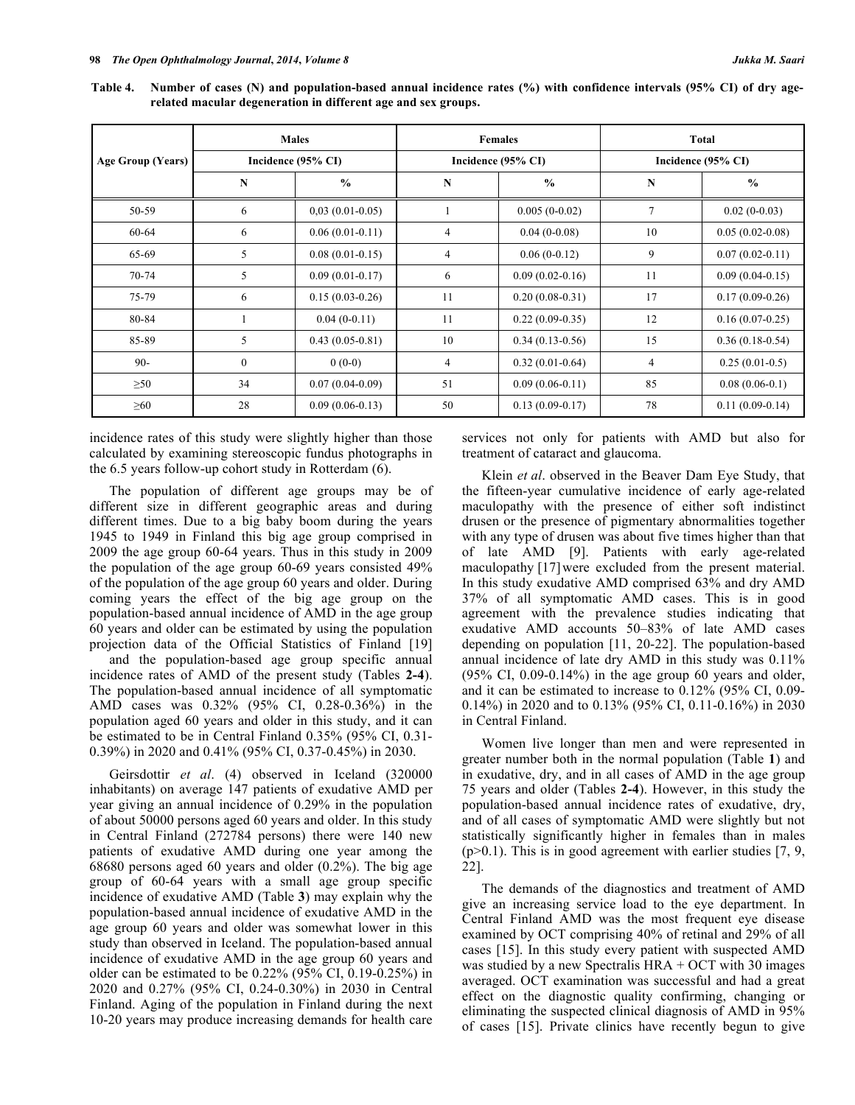**Table 4. Number of cases (N) and population-based annual incidence rates (%) with confidence intervals (95% CI) of dry agerelated macular degeneration in different age and sex groups.**

|                   |              | <b>Males</b>       |    | <b>Females</b>     | Total<br>Incidence (95% CI) |                   |  |
|-------------------|--------------|--------------------|----|--------------------|-----------------------------|-------------------|--|
| Age Group (Years) |              | Incidence (95% CI) |    | Incidence (95% CI) |                             |                   |  |
|                   | $\mathbf N$  | $\frac{0}{0}$      | N  | $\frac{0}{0}$      | N                           | $\frac{0}{0}$     |  |
| 50-59             | 6            | $0,03(0.01-0.05)$  |    | $0.005(0-0.02)$    | 7                           | $0.02(0-0.03)$    |  |
| 60-64             | 6            | $0.06(0.01-0.11)$  | 4  | $0.04(0-0.08)$     | 10                          | $0.05(0.02-0.08)$ |  |
| 65-69             | 5            | $0.08(0.01-0.15)$  | 4  | $0.06(0-0.12)$     | 9                           | $0.07(0.02-0.11)$ |  |
| 70-74             | 5            | $0.09(0.01-0.17)$  | 6  | $0.09(0.02-0.16)$  | 11                          | $0.09(0.04-0.15)$ |  |
| 75-79             | 6            | $0.15(0.03-0.26)$  | 11 | $0.20(0.08-0.31)$  | 17                          | $0.17(0.09-0.26)$ |  |
| 80-84             |              | $0.04(0-0.11)$     | 11 | $0.22(0.09-0.35)$  | 12                          | $0.16(0.07-0.25)$ |  |
| 85-89             | 5            | $0.43(0.05-0.81)$  | 10 | $0.34(0.13-0.56)$  | 15                          | $0.36(0.18-0.54)$ |  |
| $90-$             | $\mathbf{0}$ | $0(0-0)$           | 4  | $0.32(0.01-0.64)$  | $\overline{4}$              | $0.25(0.01-0.5)$  |  |
| $\geq 50$         | 34           | $0.07(0.04-0.09)$  | 51 | $0.09(0.06-0.11)$  | 85                          | $0.08(0.06-0.1)$  |  |
| $\geq 60$         | 28           | $0.09(0.06-0.13)$  | 50 | $0.13(0.09-0.17)$  | 78                          | $0.11(0.09-0.14)$ |  |

incidence rates of this study were slightly higher than those calculated by examining stereoscopic fundus photographs in the 6.5 years follow-up cohort study in Rotterdam (6).

The population of different age groups may be of different size in different geographic areas and during different times. Due to a big baby boom during the years 1945 to 1949 in Finland this big age group comprised in 2009 the age group 60-64 years. Thus in this study in 2009 the population of the age group 60-69 years consisted 49% of the population of the age group 60 years and older. During coming years the effect of the big age group on the population-based annual incidence of AMD in the age group 60 years and older can be estimated by using the population projection data of the Official Statistics of Finland [19]

and the population-based age group specific annual incidence rates of AMD of the present study (Tables **2-4**). The population-based annual incidence of all symptomatic AMD cases was 0.32% (95% CI, 0.28-0.36%) in the population aged 60 years and older in this study, and it can be estimated to be in Central Finland 0.35% (95% CI, 0.31- 0.39%) in 2020 and 0.41% (95% CI, 0.37-0.45%) in 2030.

Geirsdottir *et al*. (4) observed in Iceland (320000 inhabitants) on average 147 patients of exudative AMD per year giving an annual incidence of 0.29% in the population of about 50000 persons aged 60 years and older. In this study in Central Finland (272784 persons) there were 140 new patients of exudative AMD during one year among the 68680 persons aged 60 years and older (0.2%). The big age group of 60-64 years with a small age group specific incidence of exudative AMD (Table **3**) may explain why the population-based annual incidence of exudative AMD in the age group 60 years and older was somewhat lower in this study than observed in Iceland. The population-based annual incidence of exudative AMD in the age group 60 years and older can be estimated to be 0.22% (95% CI, 0.19-0.25%) in 2020 and 0.27% (95% CI, 0.24-0.30%) in 2030 in Central Finland. Aging of the population in Finland during the next 10-20 years may produce increasing demands for health care services not only for patients with AMD but also for treatment of cataract and glaucoma.

Klein *et al*. observed in the Beaver Dam Eye Study, that the fifteen-year cumulative incidence of early age-related maculopathy with the presence of either soft indistinct drusen or the presence of pigmentary abnormalities together with any type of drusen was about five times higher than that of late AMD [9]. Patients with early age-related maculopathy [17] were excluded from the present material. In this study exudative AMD comprised 63% and dry AMD 37% of all symptomatic AMD cases. This is in good agreement with the prevalence studies indicating that exudative AMD accounts 50–83% of late AMD cases depending on population [11, 20-22]. The population-based annual incidence of late dry AMD in this study was 0.11% (95% CI, 0.09-0.14%) in the age group 60 years and older, and it can be estimated to increase to 0.12% (95% CI, 0.09- 0.14%) in 2020 and to 0.13% (95% CI, 0.11-0.16%) in 2030 in Central Finland.

Women live longer than men and were represented in greater number both in the normal population (Table **1**) and in exudative, dry, and in all cases of AMD in the age group 75 years and older (Tables **2-4**). However, in this study the population-based annual incidence rates of exudative, dry, and of all cases of symptomatic AMD were slightly but not statistically significantly higher in females than in males  $(p>0.1)$ . This is in good agreement with earlier studies [7, 9, 22].

The demands of the diagnostics and treatment of AMD give an increasing service load to the eye department. In Central Finland AMD was the most frequent eye disease examined by OCT comprising 40% of retinal and 29% of all cases [15]. In this study every patient with suspected AMD was studied by a new Spectralis HRA + OCT with 30 images averaged. OCT examination was successful and had a great effect on the diagnostic quality confirming, changing or eliminating the suspected clinical diagnosis of AMD in 95% of cases [15]. Private clinics have recently begun to give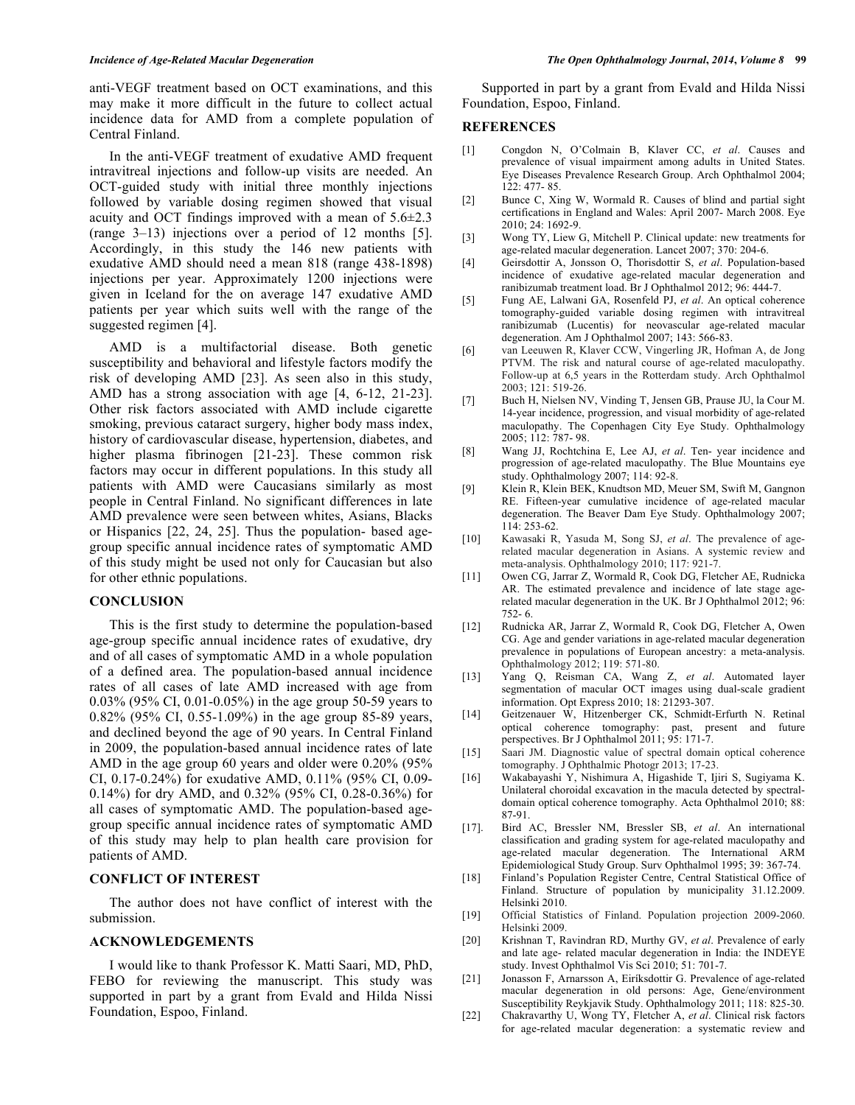anti-VEGF treatment based on OCT examinations, and this may make it more difficult in the future to collect actual incidence data for AMD from a complete population of Central Finland.

In the anti-VEGF treatment of exudative AMD frequent intravitreal injections and follow-up visits are needed. An OCT-guided study with initial three monthly injections followed by variable dosing regimen showed that visual acuity and OCT findings improved with a mean of  $5.6\pm2.3$ (range 3–13) injections over a period of 12 months [5]. Accordingly, in this study the 146 new patients with exudative AMD should need a mean 818 (range 438-1898) injections per year. Approximately 1200 injections were given in Iceland for the on average 147 exudative AMD patients per year which suits well with the range of the suggested regimen [4].

AMD is a multifactorial disease. Both genetic susceptibility and behavioral and lifestyle factors modify the risk of developing AMD [23]. As seen also in this study, AMD has a strong association with age [4, 6-12, 21-23]. Other risk factors associated with AMD include cigarette smoking, previous cataract surgery, higher body mass index, history of cardiovascular disease, hypertension, diabetes, and higher plasma fibrinogen [21-23]. These common risk factors may occur in different populations. In this study all patients with AMD were Caucasians similarly as most people in Central Finland. No significant differences in late AMD prevalence were seen between whites, Asians, Blacks or Hispanics [22, 24, 25]. Thus the population- based agegroup specific annual incidence rates of symptomatic AMD of this study might be used not only for Caucasian but also for other ethnic populations.

#### **CONCLUSION**

This is the first study to determine the population-based age-group specific annual incidence rates of exudative, dry and of all cases of symptomatic AMD in a whole population of a defined area. The population-based annual incidence rates of all cases of late AMD increased with age from 0.03% (95% CI, 0.01-0.05%) in the age group 50-59 years to 0.82% (95% CI, 0.55-1.09%) in the age group 85-89 years, and declined beyond the age of 90 years. In Central Finland in 2009, the population-based annual incidence rates of late AMD in the age group 60 years and older were 0.20% (95% CI, 0.17-0.24%) for exudative AMD, 0.11% (95% CI, 0.09- 0.14%) for dry AMD, and 0.32% (95% CI, 0.28-0.36%) for all cases of symptomatic AMD. The population-based agegroup specific annual incidence rates of symptomatic AMD of this study may help to plan health care provision for patients of AMD.

#### **CONFLICT OF INTEREST**

The author does not have conflict of interest with the submission.

#### **ACKNOWLEDGEMENTS**

I would like to thank Professor K. Matti Saari, MD, PhD, FEBO for reviewing the manuscript. This study was supported in part by a grant from Evald and Hilda Nissi Foundation, Espoo, Finland.

Supported in part by a grant from Evald and Hilda Nissi Foundation, Espoo, Finland.

#### **REFERENCES**

- [1] Congdon N, O'Colmain B, Klaver CC, *et al*. Causes and prevalence of visual impairment among adults in United States. Eye Diseases Prevalence Research Group. Arch Ophthalmol 2004; 122: 477- 85.
- [2] Bunce C, Xing W, Wormald R. Causes of blind and partial sight certifications in England and Wales: April 2007- March 2008. Eye 2010; 24: 1692-9.
- [3] Wong TY, Liew G, Mitchell P. Clinical update: new treatments for age-related macular degeneration. Lancet 2007; 370: 204-6.
- [4] Geirsdottir A, Jonsson O, Thorisdottir S, *et al*. Population-based incidence of exudative age-related macular degeneration and ranibizumab treatment load. Br J Ophthalmol 2012; 96: 444-7.
- [5] Fung AE, Lalwani GA, Rosenfeld PJ, *et al*. An optical coherence tomography-guided variable dosing regimen with intravitreal ranibizumab (Lucentis) for neovascular age-related macular degeneration. Am J Ophthalmol 2007; 143: 566-83.
- [6] van Leeuwen R, Klaver CCW, Vingerling JR, Hofman A, de Jong PTVM. The risk and natural course of age-related maculopathy. Follow-up at 6,5 years in the Rotterdam study. Arch Ophthalmol 2003; 121: 519-26.
- [7] Buch H, Nielsen NV, Vinding T, Jensen GB, Prause JU, la Cour M. 14-year incidence, progression, and visual morbidity of age-related maculopathy. The Copenhagen City Eye Study. Ophthalmology 2005; 112: 787- 98.
- [8] Wang JJ, Rochtchina E, Lee AJ, *et al*. Ten- year incidence and progression of age-related maculopathy. The Blue Mountains eye study. Ophthalmology 2007; 114: 92-8.
- [9] Klein R, Klein BEK, Knudtson MD, Meuer SM, Swift M, Gangnon RE. Fifteen-year cumulative incidence of age-related macular degeneration. The Beaver Dam Eye Study. Ophthalmology 2007; 114: 253-62.
- [10] Kawasaki R, Yasuda M, Song SJ, *et al*. The prevalence of agerelated macular degeneration in Asians. A systemic review and meta-analysis. Ophthalmology 2010; 117: 921-7.
- [11] Owen CG, Jarrar Z, Wormald R, Cook DG, Fletcher AE, Rudnicka AR. The estimated prevalence and incidence of late stage agerelated macular degeneration in the UK. Br J Ophthalmol 2012; 96: 752- 6.
- [12] Rudnicka AR, Jarrar Z, Wormald R, Cook DG, Fletcher A, Owen CG. Age and gender variations in age-related macular degeneration prevalence in populations of European ancestry: a meta-analysis. Ophthalmology 2012; 119: 571-80.
- [13] Yang Q, Reisman CA, Wang Z, *et al*. Automated layer segmentation of macular OCT images using dual-scale gradient information. Opt Express 2010; 18: 21293-307.
- [14] Geitzenauer W, Hitzenberger CK, Schmidt-Erfurth N. Retinal optical coherence tomography: past, present and future perspectives. Br J Ophthalmol 2011; 95: 171-7.
- [15] Saari JM. Diagnostic value of spectral domain optical coherence tomography. J Ophthalmic Photogr 2013; 17-23.
- [16] Wakabayashi Y, Nishimura A, Higashide T, Ijiri S, Sugiyama K. Unilateral choroidal excavation in the macula detected by spectraldomain optical coherence tomography. Acta Ophthalmol 2010; 88: 87-91.
- [17]. Bird AC, Bressler NM, Bressler SB, *et al*. An international classification and grading system for age-related maculopathy and age-related macular degeneration. The International ARM Epidemiological Study Group. Surv Ophthalmol 1995; 39: 367-74.
- [18] Finland's Population Register Centre, Central Statistical Office of Finland. Structure of population by municipality 31.12.2009. Helsinki 2010.
- [19] Official Statistics of Finland. Population projection 2009-2060. Helsinki 2009.
- [20] Krishnan T, Ravindran RD, Murthy GV, *et al*. Prevalence of early and late age- related macular degeneration in India: the INDEYE study. Invest Ophthalmol Vis Sci 2010; 51: 701-7.
- [21] Jonasson F, Arnarsson A, Eiríksdottir G. Prevalence of age-related macular degeneration in old persons: Age, Gene/environment Susceptibility Reykjavik Study. Ophthalmology 2011; 118: 825-30.
- [22] Chakravarthy U, Wong TY, Fletcher A, *et al*. Clinical risk factors for age-related macular degeneration: a systematic review and